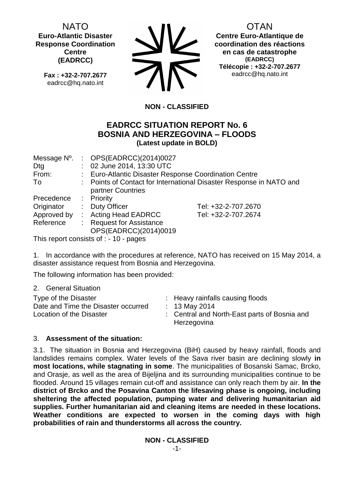NATO **Euro-Atlantic Disaster Response Coordination Centre (EADRCC)**

**Fax : +32-2-707.2677** eadrcc@hq.nato.int



OTAN

**Centre Euro-Atlantique de coordination des réactions en cas de catastrophe (EADRCC) Télécopie : +32-2-707.2677** eadrcc@hq.nato.int

# **NON - CLASSIFIED**

# **EADRCC SITUATION REPORT No. 6 BOSNIA AND HERZEGOVINA – FLOODS (Latest update in BOLD)**

| Message N <sup>o</sup> . | : $OPS(EADRCC)(2014)0027$                             |                                                                     |
|--------------------------|-------------------------------------------------------|---------------------------------------------------------------------|
| Dtg                      | : 02 June 2014, 13:30 UTC                             |                                                                     |
| From:                    | : Euro-Atlantic Disaster Response Coordination Centre |                                                                     |
| To                       |                                                       | : Points of Contact for International Disaster Response in NATO and |
|                          | partner Countries                                     |                                                                     |
| Precedence               | : Priority                                            |                                                                     |
| Originator               | : Duty Officer                                        | Tel: +32-2-707.2670                                                 |
| Approved by              | : Acting Head EADRCC                                  | Tel: +32-2-707.2674                                                 |
| Reference                | <b>Request for Assistance</b>                         |                                                                     |
|                          | OPS(EADRCC)(2014)0019                                 |                                                                     |

This report consists of : - 10 - pages

1. In accordance with the procedures at reference, NATO has received on 15 May 2014, a disaster assistance request from Bosnia and Herzegovina.

The following information has been provided:

2. General Situation

| Type of the Disaster<br>Date and Time the Disaster occurred<br>Location of the Disaster |  | : Heavy rainfalls causing floods<br>: 13 May 2014<br>: Central and North-East parts of Bosnia and<br>Herzegovina |
|-----------------------------------------------------------------------------------------|--|------------------------------------------------------------------------------------------------------------------|
|-----------------------------------------------------------------------------------------|--|------------------------------------------------------------------------------------------------------------------|

# 3. **Assessment of the situation:**

3.1. The situation in Bosnia and Herzegovina (BiH) caused by heavy rainfall, floods and landslides remains complex. Water levels of the Sava river basin are declining slowly **in most locations, while stagnating in some**. The municipalities of Bosanski Samac, Brcko, and Orasje, as well as the area of Bijeljina and its surrounding municipalities continue to be flooded. Around 15 villages remain cut-off and assistance can only reach them by air. **In the district of Brcko and the Posavina Canton the lifesaving phase is ongoing, including sheltering the affected population, pumping water and delivering humanitarian aid supplies. Further humanitarian aid and cleaning items are needed in these locations. Weather conditions are expected to worsen in the coming days with high probabilities of rain and thunderstorms all across the country.**

**NON - CLASSIFIED**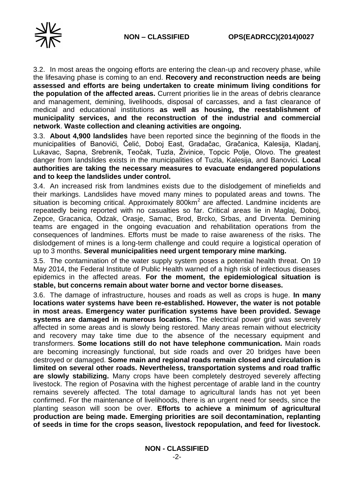

3.2. In most areas the ongoing efforts are entering the clean-up and recovery phase, while the lifesaving phase is coming to an end. **Recovery and reconstruction needs are being assessed and efforts are being undertaken to create minimum living conditions for the population of the affected areas.** Current priorities lie in the areas of debris clearance and management, demining, livelihoods, disposal of carcasses, and a fast clearance of medical and educational institutions **as well as housing, the reestablishment of municipality services, and the reconstruction of the industrial and commercial network**. **Waste collection and cleaning activities are ongoing.**

3.3. **About 4,900 landslides** have been reported since the beginning of the floods in the municipalities of Banovići, Čelić, Doboj East, Gradačac, Gračanica, Kalesija, Kladanj, Lukavac, Sapna, Srebrenik, Teočak, Tuzla, Živinice, Topcic Polje, Olovo. The greatest danger from landslides exists in the municipalities of Tuzla, Kalesija, and Banovici. **Local authorities are taking the necessary measures to evacuate endangered populations and to keep the landslides under control.**

3.4. An increased risk from landmines exists due to the dislodgement of minefields and their markings. Landslides have moved many mines to populated areas and towns. The situation is becoming critical. Approximately  $800$ km<sup>2</sup> are affected. Landmine incidents are repeatedly being reported with no casualties so far. Critical areas lie in Maglaj, Doboj, Zepce, Gracanica, Odzak, Orasje, Samac, Brod, Brcko, Srbas, and Drventa. Demining teams are engaged in the ongoing evacuation and rehabilitation operations from the consequences of landmines. Efforts must be made to raise awareness of the risks. The dislodgement of mines is a long-term challenge and could require a logistical operation of up to 3 months. **Several municipalities need urgent temporary mine marking.**

3.5. The contamination of the water supply system poses a potential health threat. On 19 May 2014, the Federal Institute of Public Health warned of a high risk of infectious diseases epidemics in the affected areas. **For the moment, the epidemiological situation is stable, but concerns remain about water borne and vector borne diseases.**

3.6. The damage of infrastructure, houses and roads as well as crops is huge. **In many locations water systems have been re-established. However, the water is not potable in most areas. Emergency water purification systems have been provided. Sewage systems are damaged in numerous locations.** The electrical power grid was severely affected in some areas and is slowly being restored. Many areas remain without electricity and recovery may take time due to the absence of the necessary equipment and transformers. **Some locations still do not have telephone communication.** Main roads are becoming increasingly functional, but side roads and over 20 bridges have been destroyed or damaged. **Some main and regional roads remain closed and circulation is limited on several other roads. Nevertheless, transportation systems and road traffic are slowly stabilizing.** Many crops have been completely destroyed severely affecting livestock. The region of Posavina with the highest percentage of arable land in the country remains severely affected. The total damage to agricultural lands has not yet been confirmed. For the maintenance of livelihoods, there is an urgent need for seeds, since the planting season will soon be over. **Efforts to achieve a minimum of agricultural production are being made. Emerging priorities are soil decontamination, replanting of seeds in time for the crops season, livestock repopulation, and feed for livestock.**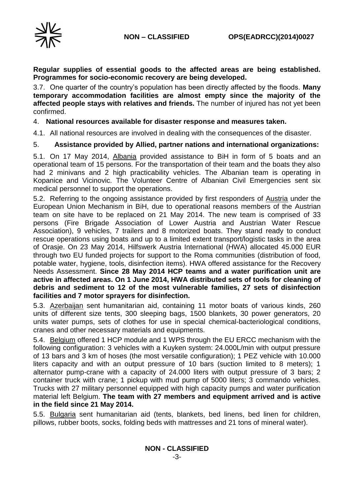

**Regular supplies of essential goods to the affected areas are being established. Programmes for socio-economic recovery are being developed.**

3.7. One quarter of the country's population has been directly affected by the floods. **Many temporary accommodation facilities are almost empty since the majority of the affected people stays with relatives and friends.** The number of injured has not yet been confirmed.

### 4. **National resources available for disaster response and measures taken.**

4.1. All national resources are involved in dealing with the consequences of the disaster.

### 5. **Assistance provided by Allied, partner nations and international organizations:**

5.1. On 17 May 2014, Albania provided assistance to BiH in form of 5 boats and an operational team of 15 persons. For the transportation of their team and the boats they also had 2 minivans and 2 high practicability vehicles. The Albanian team is operating in Kopanice and Vicinovic. The Volunteer Centre of Albanian Civil Emergencies sent six medical personnel to support the operations.

5.2. Referring to the ongoing assistance provided by first responders of Austria under the European Union Mechanism in BiH, due to operational reasons members of the Austrian team on site have to be replaced on 21 May 2014. The new team is comprised of 33 persons (Fire Brigade Association of Lower Austria and Austrian Water Rescue Association), 9 vehicles, 7 trailers and 8 motorized boats. They stand ready to conduct rescue operations using boats and up to a limited extent transport/logistic tasks in the area of Orasje. On 23 May 2014, Hilfswerk Austria International (HWA) allocated 45.000 EUR through two EU funded projects for support to the Roma communities (distribution of food, potable water, hygiene, tools, disinfection items). HWA offered assistance for the Recovery Needs Assessment. **Since 28 May 2014 HCP teams and a water purification unit are active in affected areas. On 1 June 2014, HWA distributed sets of tools for cleaning of debris and sediment to 12 of the most vulnerable families, 27 sets of disinfection facilities and 7 motor sprayers for disinfection.**

5.3. Azerbaijan sent humanitarian aid, containing 11 motor boats of various kinds, 260 units of different size tents, 300 sleeping bags, 1500 blankets, 30 power generators, 20 units water pumps, sets of clothes for use in special chemical-bacteriological conditions, cranes and other necessary materials and equipments.

5.4. Belgium offered 1 HCP module and 1 WPS through the EU ERCC mechanism with the following configuration: 3 vehicles with a Kuyken system: 24.000L/min with output pressure of 13 bars and 3 km of hoses (the most versatile configuration); 1 PEZ vehicle with 10.000 liters capacity and with an output pressure of 10 bars (suction limited to 8 meters); 1 alternator pump-crane with a capacity of 24.000 liters with output pressure of 3 bars; 2 container truck with crane; 1 pickup with mud pump of 5000 liters; 3 commando vehicles. Trucks with 27 military personnel equipped with high capacity pumps and water purification material left Belgium. **The team with 27 members and equipment arrived and is active in the field since 21 May 2014.**

5.5. Bulgaria sent humanitarian aid (tents, blankets, bed linens, bed linen for children, pillows, rubber boots, socks, folding beds with mattresses and 21 tons of mineral water).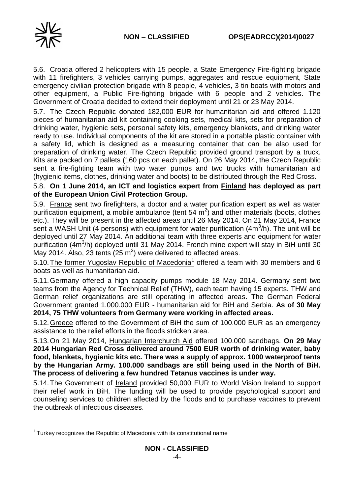5.6. Croatia offered 2 helicopters with 15 people, a State Emergency Fire-fighting brigade with 11 firefighters, 3 vehicles carrying pumps, aggregates and rescue equipment, State emergency civilian protection brigade with 8 people, 4 vehicles, 3 tin boats with motors and other equipment, a Public Fire-fighting brigade with 6 people and 2 vehicles. The Government of Croatia decided to extend their deployment until 21 or 23 May 2014.

5.7. The Czech Republic donated 182,000 EUR for humanitarian aid and offered 1.120 pieces of humanitarian aid kit containing cooking sets, medical kits, sets for preparation of drinking water, hygienic sets, personal safety kits, emergency blankets, and drinking water ready to use. Individual components of the kit are stored in a portable plastic container with a safety lid, which is designed as a measuring container that can be also used for preparation of drinking water. The Czech Republic provided ground transport by a truck. Kits are packed on 7 pallets (160 pcs on each pallet). On 26 May 2014, the Czech Republic sent a fire-fighting team with two water pumps and two trucks with humanitarian aid (hygienic items, clothes, drinking water and boots) to be distributed through the Red Cross.

## 5.8. **On 1 June 2014, an ICT and logistics expert from Finland has deployed as part of the European Union Civil Protection Group.**

5.9. France sent two firefighters, a doctor and a water purification expert as well as water purification equipment, a mobile ambulance (tent 54  $m^2$ ) and other materials (boots, clothes etc.). They will be present in the affected areas until 26 May 2014. On 21 May 2014, France sent a WASH Unit (4 persons) with equipment for water purification (4m<sup>3</sup>/h). The unit will be deployed until 27 May 2014. An additional team with three experts and equipment for water purification (4m<sup>3</sup>/h) deployed until 31 May 2014. French mine expert will stay in BiH until 30 May 2014. Also, 23 tents  $(25 \text{ m}^2)$  were delivered to affected areas.

5.10. The former Yugoslav Republic of Macedonia<sup>1</sup> offered a team with 30 members and 6 boats as well as humanitarian aid.

5.11.Germany offered a high capacity pumps module 18 May 2014. Germany sent two teams from the Agency for Technical Relief (THW), each team having 15 experts. THW and German relief organizations are still operating in affected areas. The German Federal Government granted 1.000.000 EUR - humanitarian aid for BiH and Serbia. **As of 30 May 2014, 75 THW volunteers from Germany were working in affected areas.**

5.12.Greece offered to the Government of BiH the sum of 100.000 EUR as an emergency assistance to the relief efforts in the floods stricken area.

5.13.On 21 May 2014, Hungarian Interchurch Aid offered 100.000 sandbags. **On 29 May 2014 Hungarian Red Cross delivered around 7500 EUR worth of drinking water, baby food, blankets, hygienic kits etc. There was a supply of approx. 1000 waterproof tents by the Hungarian Army. 100.000 sandbags are still being used in the North of BiH. The process of delivering a few hundred Tetanus vaccines is under way.**

5.14.The Government of Ireland provided 50,000 EUR to World Vision Ireland to support their relief work in BiH. The funding will be used to provide psychological support and counseling services to children affected by the floods and to purchase vaccines to prevent the outbreak of infectious diseases.

<sup>-</sup> $1$  Turkey recognizes the Republic of Macedonia with its constitutional name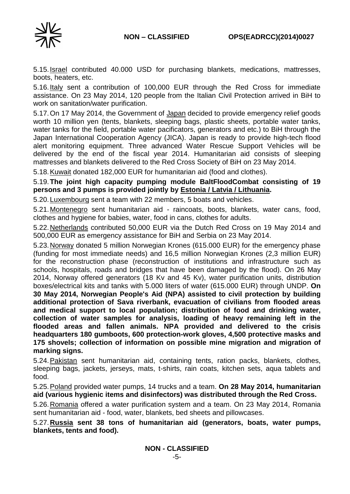

5.15.Israel contributed 40.000 USD for purchasing blankets, medications, mattresses, boots, heaters, etc.

5.16.Italy sent a contribution of 100,000 EUR through the Red Cross for immediate assistance. On 23 May 2014, 120 people from the Italian Civil Protection arrived in BiH to work on sanitation/water purification.

5.17.On 17 May 2014, the Government of Japan decided to provide emergency relief goods worth 10 million yen (tents, blankets, sleeping bags, plastic sheets, portable water tanks, water tanks for the field, portable water pacificators, generators and etc.) to BiH through the Japan International Cooperation Agency (JICA). Japan is ready to provide high-tech flood alert monitoring equipment. Three advanced Water Rescue Support Vehicles will be delivered by the end of the fiscal year 2014. Humanitarian aid consists of sleeping mattresses and blankets delivered to the Red Cross Society of BiH on 23 May 2014.

5.18.Kuwait donated 182,000 EUR for humanitarian aid (food and clothes).

5.19.**The joint high capacity pumping module BaltFloodCombat consisting of 19 persons and 3 pumps is provided jointly by Estonia / Latvia / Lithuania.** 

5.20.Luxembourg sent a team with 22 members, 5 boats and vehicles.

5.21.Montenegro sent humanitarian aid - raincoats, boots, blankets, water cans, food, clothes and hygiene for babies, water, food in cans, clothes for adults.

5.22. Netherlands contributed 50,000 EUR via the Dutch Red Cross on 19 May 2014 and 500,000 EUR as emergency assistance for BiH and Serbia on 23 May 2014.

5.23.Norway donated 5 million Norwegian Krones (615.000 EUR) for the emergency phase (funding for most immediate needs) and 16,5 million Norwegian Krones (2,3 million EUR) for the reconstruction phase (reconstruction of institutions and infrastructure such as schools, hospitals, roads and bridges that have been damaged by the flood). On 26 May 2014, Norway offered generators (18 Kv and 45 Kv), water purification units, distribution boxes/electrical kits and tanks with 5.000 liters of water (615.000 EUR) through UNDP. **On 30 May 2014, Norwegian People's Aid (NPA) assisted to civil protection by building additional protection of Sava riverbank, evacuation of civilians from flooded areas and medical support to local population; distribution of food and drinking water, collection of water samples for analysis, loading of heavy remaining left in the flooded areas and fallen animals. NPA provided and delivered to the crisis headquarters 180 gumboots, 600 protection-work gloves, 4,500 protective masks and 175 shovels; collection of information on possible mine migration and migration of marking signs.**

5.24. Pakistan sent humanitarian aid, containing tents, ration packs, blankets, clothes, sleeping bags, jackets, jerseys, mats, t-shirts, rain coats, kitchen sets, aqua tablets and food.

5.25.Poland provided water pumps, 14 trucks and a team. **On 28 May 2014, humanitarian aid (various hygienic items and disinfectors) was distributed through the Red Cross.**

5.26.Romania offered a water purification system and a team. On 23 May 2014, Romania sent humanitarian aid - food, water, blankets, bed sheets and pillowcases.

5.27.**Russia sent 38 tons of humanitarian aid (generators, boats, water pumps, blankets, tents and food).**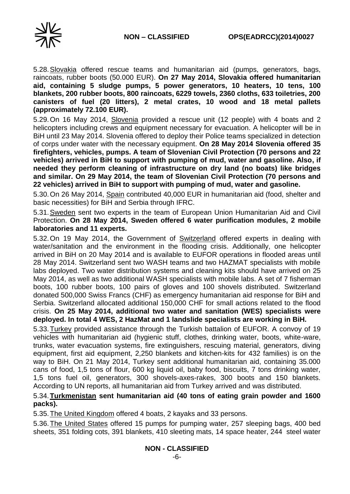

5.28.Slovakia offered rescue teams and humanitarian aid (pumps, generators, bags, raincoats, rubber boots (50.000 EUR). **On 27 May 2014, Slovakia offered humanitarian aid, containing 5 sludge pumps, 5 power generators, 10 heaters, 10 tens, 100 blankets, 200 rubber boots, 800 raincoats, 6229 towels, 2360 cloths, 633 toiletries, 200 canisters of fuel (20 litters), 2 metal crates, 10 wood and 18 metal pallets (approximately 72.100 EUR).**

5.29.On 16 May 2014, Slovenia provided a rescue unit (12 people) with 4 boats and 2 helicopters including crews and equipment necessary for evacuation. A helicopter will be in BiH until 23 May 2014. Slovenia offered to deploy their Police teams specialized in detection of corps under water with the necessary equipment. **On 28 May 2014 Slovenia offered 35 firefighters, vehicles, pumps. A team of Slovenian Civil Protection (70 persons and 22 vehicles) arrived in BiH to support with pumping of mud, water and gasoline. Also, if needed they perform cleaning of infrastructure on dry land (no boats) like bridges and similar. On 29 May 2014, the team of Slovenian Civil Protection (70 persons and 22 vehicles) arrived in BiH to support with pumping of mud, water and gasoline.** 

5.30.On 26 May 2014, Spain contributed 40,000 EUR in humanitarian aid (food, shelter and basic necessities) for BiH and Serbia through IFRC.

5.31.Sweden sent two experts in the team of European Union Humanitarian Aid and Civil Protection. **On 28 May 2014, Sweden offered 6 water purification modules, 2 mobile laboratories and 11 experts.**

5.32.On 19 May 2014, the Government of Switzerland offered experts in dealing with water/sanitation and the environment in the flooding crisis. Additionally, one helicopter arrived in BiH on 20 May 2014 and is available to EUFOR operations in flooded areas until 28 May 2014. Switzerland sent two WASH teams and two HAZMAT specialists with mobile labs deployed. Two water distribution systems and cleaning kits should have arrived on 25 May 2014, as well as two additional WASH specialists with mobile labs. A set of 7 fisherman boots, 100 rubber boots, 100 pairs of gloves and 100 shovels distributed. Switzerland donated 500,000 Swiss Francs (CHF) as emergency humanitarian aid response for BiH and Serbia. Switzerland allocated additional 150,000 CHF for small actions related to the flood crisis. **On 25 May 2014, additional two water and sanitation (WES) specialists were deployed. In total 4 WES, 2 HazMat and 1 landslide specialists are working in BiH.**

5.33.Turkey provided assistance through the Turkish battalion of EUFOR. A convoy of 19 vehicles with humanitarian aid (hygienic stuff, clothes, drinking water, boots, white-ware, trunks, water evacuation systems, fire extinguishers, rescuing material, generators, diving equipment, first aid equipment, 2,250 blankets and kitchen-kits for 432 families) is on the way to BiH. On 21 May 2014, Turkey sent additional humanitarian aid, containing 35.000 cans of food, 1,5 tons of flour, 600 kg liquid oil, baby food, biscuits, 7 tons drinking water, 1,5 tons fuel oil, generators, 300 shovels-axes-rakes, 300 boots and 150 blankets. According to UN reports, all humanitarian aid from Turkey arrived and was distributed.

# 5.34.**Turkmenistan sent humanitarian aid (40 tons of eating grain powder and 1600 packs).**

5.35.The United Kingdom offered 4 boats, 2 kayaks and 33 persons.

5.36.The United States offered 15 pumps for pumping water, 257 sleeping bags, 400 bed sheets, 351 folding cots, 391 blankets, 410 sleeting mats, 14 space heater, 244 steel water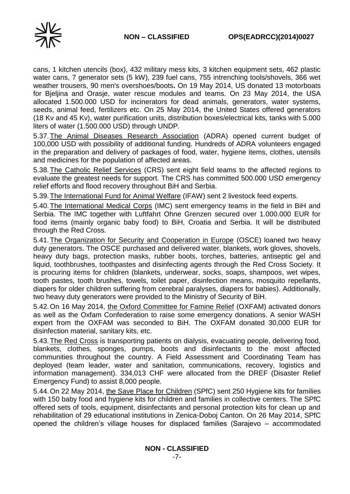

cans, 1 kitchen utencils (box), 432 military mess kits, 3 kitchen equipment sets, 462 plastic water cans, 7 generator sets (5 kW), 239 fuel cans, 755 intrenching tools/shovels, 366 wet weather trousers, 90 men's overshoes/boots**.** On 19 May 2014, US donated 13 motorboats for Bjeljina and Orasje, water rescue modules and teams. On 23 May 2014, the USA allocated 1.500.000 USD for incinerators for dead animals, generators, water systems, seeds, animal feed, fertilizers etc. On 25 May 2014, the United States offered generators (18 Kv and 45 Kv), water purification units, distribution boxes/electrical kits, tanks with 5.000 liters of water (1.500.000 USD) through UNDP.

5.37.The Animal Diseases Research Association (ADRA) opened current budget of 100,000 USD with possibility of additional funding. Hundreds of ADRA volunteers engaged in the preparation and delivery of packages of food, water, hygiene items, clothes, utensils and medicines for the population of affected areas.

5.38.The Catholic Relief Services (CRS) sent eight field teams to the affected regions to evaluate the greatest needs for support. The CRS has committed 500.000 USD emergency relief efforts and flood recovery throughout BiH and Serbia.

5.39.The International Fund for Animal Welfare (IFAW) sent 2 livestock feed experts.

5.40.The International Medical Corps (IMC) sent emergency teams in the field in BiH and Serbia. The IMC together with Luftfahrt Ohne Grenzen secured over 1.000.000 EUR for food items (mainly organic baby food) to BiH, Croatia and Serbia. It will be distributed through the Red Cross.

5.41.The Organization for Security and Cooperation in Europe (OSCE) loaned two heavy duty generators. The OSCE purchased and delivered water, blankets, work gloves, shovels, heavy duty bags, protection masks, rubber boots, torches, batteries, antiseptic gel and liquid, toothbrushes, toothpastes and disinfecting agents through the Red Cross Society. It is procuring items for children (blankets, underwear, socks, soaps, shampoos, wet wipes, tooth pastes, tooth brushes, towels, toilet paper, disinfection means, mosquito repellants, diapers for older children suffering from cerebral paralyses, diapers for babies). Additionally, two heavy duty generators were provided to the Ministry of Security of BiH.

5.42.On 16 May 2014, the Oxford Committee for Famine Relief (OXFAM) activated donors as well as the Oxfam Confederation to raise some emergency donations. A senior WASH expert from the OXFAM was seconded to BiH. The OXFAM donated 30,000 EUR for disinfection material, sanitary kits, etc.

5.43.The Red Cross is transporting patients on dialysis, evacuating people, delivering food, blankets, clothes, sponges, pumps, boots and disinfectants to the most affected communities throughout the country. A Field Assessment and Coordinating Team has deployed (team leader, water and sanitation, communications, recovery, logistics and information management). 334,013 CHF were allocated from the DREF (Disaster Relief Emergency Fund) to assist 8,000 people.

5.44.On 22 May 2014, the Save Place for Children (SPfC) sent 250 Hygiene kits for families with 150 baby food and hygiene kits for children and families in collective centers. The SPfC offered sets of tools, equipment, disinfectants and personal protection kits for clean up and rehabilitation of 29 educational institutions in Zenica-Doboj Canton. On 26 May 2014, SPfC opened the children's village houses for displaced families (Sarajevo – accommodated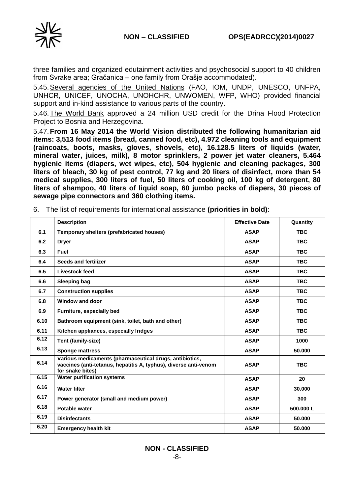



three families and organized edutainment activities and psychosocial support to 40 children from Svrake area; Gračanica – one family from Orašje accommodated).

5.45.Several agencies of the United Nations (FAO, IOM, UNDP, UNESCO, UNFPA, UNHCR, UNICEF, UNOCHA, UNOHCHR, UNWOMEN, WFP, WHO) provided financial support and in-kind assistance to various parts of the country.

5.46.The World Bank approved a 24 million USD credit for the Drina Flood Protection Project to Bosnia and Herzegovina.

5.47.**From 16 May 2014 the World Vision distributed the following humanitarian aid items: 3,513 food items (bread, canned food, etc), 4.972 cleaning tools and equipment (raincoats, boots, masks, gloves, shovels, etc), 16.128.5 liters of liquids (water, mineral water, juices, milk), 8 motor sprinklers, 2 power jet water cleaners, 5.464 hygienic items (diapers, wet wipes, etc), 504 hygienic and cleaning packages, 300 liters of bleach, 30 kg of pest control, 77 kg and 20 liters of disinfect, more than 54 medical supplies, 300 liters of fuel, 50 liters of cooking oil, 100 kg of detergent, 80 liters of shampoo, 40 liters of liquid soap, 60 jumbo packs of diapers, 30 pieces of sewage pipe connectors and 360 clothing items.**

|      | <b>Description</b>                                                                                                                              | <b>Effective Date</b> | Quantity   |
|------|-------------------------------------------------------------------------------------------------------------------------------------------------|-----------------------|------------|
| 6.1  | Temporary shelters (prefabricated houses)                                                                                                       | <b>ASAP</b>           | <b>TBC</b> |
| 6.2  | <b>Dryer</b>                                                                                                                                    | <b>ASAP</b>           | <b>TBC</b> |
| 6.3  | <b>Fuel</b>                                                                                                                                     | <b>ASAP</b>           | <b>TBC</b> |
| 6.4  | Seeds and fertilizer                                                                                                                            | <b>ASAP</b>           | <b>TBC</b> |
| 6.5  | Livestock feed                                                                                                                                  | <b>ASAP</b>           | <b>TBC</b> |
| 6.6  | <b>Sleeping bag</b>                                                                                                                             | <b>ASAP</b>           | <b>TBC</b> |
| 6.7  | <b>Construction supplies</b>                                                                                                                    | <b>ASAP</b>           | <b>TBC</b> |
| 6.8  | Window and door                                                                                                                                 | <b>ASAP</b>           | <b>TBC</b> |
| 6.9  | Furniture, especially bed                                                                                                                       | <b>ASAP</b>           | <b>TBC</b> |
| 6.10 | Bathroom equipment (sink, toilet, bath and other)                                                                                               | <b>ASAP</b>           | <b>TBC</b> |
| 6.11 | Kitchen appliances, especially fridges                                                                                                          | <b>ASAP</b>           | <b>TBC</b> |
| 6.12 | <b>Tent (family-size)</b>                                                                                                                       | <b>ASAP</b>           | 1000       |
| 6.13 | <b>Sponge mattress</b>                                                                                                                          | <b>ASAP</b>           | 50.000     |
| 6.14 | Various medicaments (pharmaceutical drugs, antibiotics,<br>vaccines (anti-tetanus, hepatitis A, typhus), diverse anti-venom<br>for snake bites) | <b>ASAP</b>           | <b>TBC</b> |
| 6.15 | <b>Water purification systems</b>                                                                                                               | <b>ASAP</b>           | 20         |
| 6.16 | <b>Water filter</b>                                                                                                                             | <b>ASAP</b>           | 30.000     |
| 6.17 | Power generator (small and medium power)                                                                                                        | <b>ASAP</b>           | 300        |
| 6.18 | Potable water                                                                                                                                   | <b>ASAP</b>           | 500.000L   |
| 6.19 | <b>Disinfectants</b>                                                                                                                            | <b>ASAP</b>           | 50.000     |
| 6.20 | <b>Emergency health kit</b>                                                                                                                     | <b>ASAP</b>           | 50.000     |

6. The list of requirements for international assistance **(priorities in bold)**: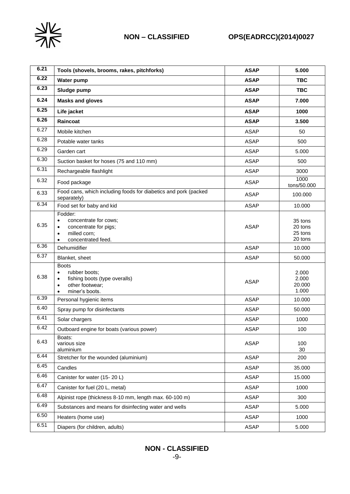

| 6.21 | Tools (shovels, brooms, rakes, pitchforks)                                                                                                      | <b>ASAP</b> | 5.000                                    |
|------|-------------------------------------------------------------------------------------------------------------------------------------------------|-------------|------------------------------------------|
| 6.22 | <b>Water pump</b>                                                                                                                               | <b>ASAP</b> | <b>TBC</b>                               |
| 6.23 | Sludge pump                                                                                                                                     | <b>ASAP</b> | <b>TBC</b>                               |
| 6.24 | <b>Masks and gloves</b>                                                                                                                         | <b>ASAP</b> | 7.000                                    |
| 6.25 | Life jacket                                                                                                                                     | <b>ASAP</b> | 1000                                     |
| 6.26 | Raincoat                                                                                                                                        | <b>ASAP</b> | 3.500                                    |
| 6.27 | Mobile kitchen                                                                                                                                  | <b>ASAP</b> | 50                                       |
| 6.28 | Potable water tanks                                                                                                                             | <b>ASAP</b> | 500                                      |
| 6.29 | Garden cart                                                                                                                                     | <b>ASAP</b> | 5.000                                    |
| 6.30 | Suction basket for hoses (75 and 110 mm)                                                                                                        | <b>ASAP</b> | 500                                      |
| 6.31 | Rechargeable flashlight                                                                                                                         | <b>ASAP</b> | 3000                                     |
| 6.32 | Food package                                                                                                                                    | <b>ASAP</b> | 1000<br>tons/50.000                      |
| 6.33 | Food cans, which including foods for diabetics and pork (packed<br>separately)                                                                  | <b>ASAP</b> | 100.000                                  |
| 6.34 | Food set for baby and kid                                                                                                                       | <b>ASAP</b> | 10.000                                   |
| 6.35 | Fodder:<br>concentrate for cows;<br>$\bullet$<br>concentrate for pigs;<br>٠<br>milled corn;<br>$\bullet$<br>concentrated feed.<br>$\bullet$     | <b>ASAP</b> | 35 tons<br>20 tons<br>25 tons<br>20 tons |
| 6.36 | Dehumidifier                                                                                                                                    | <b>ASAP</b> | 10.000                                   |
| 6.37 | Blanket, sheet                                                                                                                                  | <b>ASAP</b> | 50.000                                   |
| 6.38 | <b>Boots</b><br>rubber boots:<br>$\bullet$<br>fishing boots (type overalls)<br>$\bullet$<br>other footwear;<br>$\bullet$<br>miner's boots.<br>٠ | <b>ASAP</b> | 2.000<br>2.000<br>20.000<br>1.000        |
| 6.39 | Personal hygienic items                                                                                                                         | <b>ASAP</b> | 10.000                                   |
| 6.40 | Spray pump for disinfectants                                                                                                                    | <b>ASAP</b> | 50.000                                   |
| 6.41 | Solar chargers                                                                                                                                  | <b>ASAP</b> | 1000                                     |
| 6.42 | Outboard engine for boats (various power)                                                                                                       | <b>ASAP</b> | 100                                      |
| 6.43 | Boats:<br>various size<br>aluminium                                                                                                             | <b>ASAP</b> | 100<br>30                                |
| 6.44 | Stretcher for the wounded (aluminium)                                                                                                           | <b>ASAP</b> | 200                                      |
| 6.45 | Candles                                                                                                                                         | ASAP        | 35.000                                   |
| 6.46 | Canister for water (15-20 L)                                                                                                                    | <b>ASAP</b> | 15.000                                   |
| 6.47 | Canister for fuel (20 L, metal)                                                                                                                 | <b>ASAP</b> | 1000                                     |
| 6.48 | Alpinist rope (thickness 8-10 mm, length max. 60-100 m)                                                                                         | <b>ASAP</b> | 300                                      |
| 6.49 | Substances and means for disinfecting water and wells                                                                                           | <b>ASAP</b> | 5.000                                    |
| 6.50 | Heaters (home use)                                                                                                                              | <b>ASAP</b> | 1000                                     |
| 6.51 | Diapers (for children, adults)                                                                                                                  | ASAP        | 5.000                                    |

# **NON - CLASSIFIED**